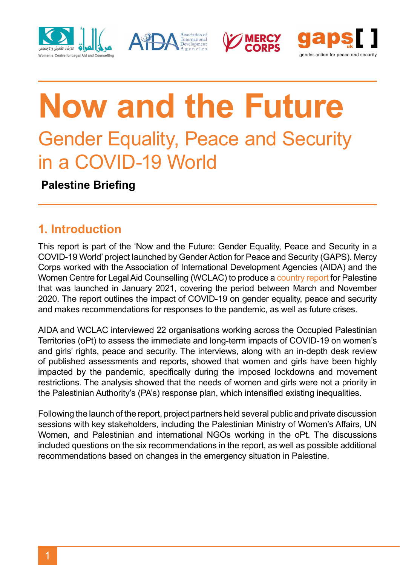







# **Now and the Future** Gender Equality, Peace and Security in a COVID-19 World

 **Palestine Briefing**

## **1. Introduction**

This report is part of the 'Now and the Future: Gender Equality, Peace and Security in a COVID-19 World' project launched by Gender Action for Peace and Security (GAPS). Mercy Corps worked with the Association of International Development Agencies (AIDA) and the Women Centre for Legal Aid Counselling (WCLAC) to produce a [country report f](https://gaps-uk.org/now-and-the-future-gender-equality-peace-and-security-in-a-covid-19-world-palestine/)or Palestine that was launched in January 2021, covering the period between March and November 2020. The report outlines the impact of COVID-19 on gender equality, peace and security and makes recommendations for responses to the pandemic, as well as future crises.

AIDA and WCLAC interviewed 22 organisations working across the Occupied Palestinian Territories (oPt) to assess the immediate and long-term impacts of COVID-19 on women's and girls' rights, peace and security. The interviews, along with an in-depth desk review of published assessments and reports, showed that women and girls have been highly impacted by the pandemic, specifically during the imposed lockdowns and movement restrictions. The analysis showed that the needs of women and girls were not a priority in the Palestinian Authority's (PA's) response plan, which intensified existing inequalities.

Following the launch of the report, project partners held several public and private discussion sessions with key stakeholders, including the Palestinian Ministry of Women's Affairs, UN Women, and Palestinian and international NGOs working in the oPt. The discussions included questions on the six recommendations in the report, as well as possible additional recommendations based on changes in the emergency situation in Palestine.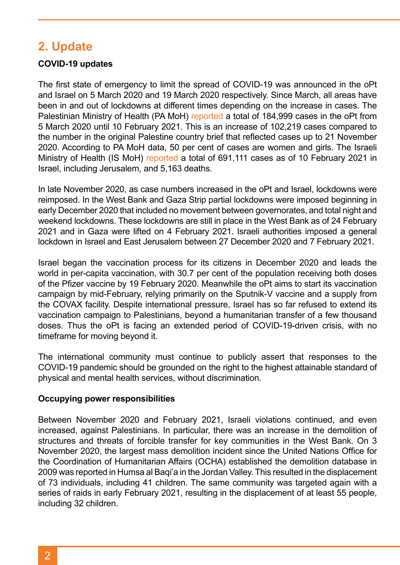## **2. Update**

#### **COVID-19 updates**

The first state of emergency to limit the spread of COVID-19 was announced in the oPt and Israel on 5 March 2020 and 19 March 2020 respectively. Since March, all areas have been in and out of lockdowns at different times depending on the increase in cases. The Palestinian Ministry of Health (PA MoH) [reported](https://corona.ps/) a total of 184,999 cases in the oPt from 5 March 2020 until 10 February 2021. This is an increase of 102,219 cases compared to the number in the original Palestine country brief that reflected cases up to 21 November 2020. According to PA MoH data, 50 per cent of cases are women and girls. The Israeli Ministry of Health (IS MoH) [reported](https://covid19.who.int/region/euro/country/il) a total of 691,111 cases as of 10 February 2021 in Israel, including Jerusalem, and 5,163 deaths.

In late November 2020, as case numbers increased in the oPt and Israel, lockdowns were reimposed. In the West Bank and Gaza Strip partial lockdowns were imposed beginning in early December 2020 that included no movement between governorates, and total night and weekend lockdowns. These lockdowns are still in place in the West Bank as of 24 February 2021 and in Gaza were lifted on 4 February 2021. Israeli authorities imposed a general lockdown in Israel and East Jerusalem between 27 December 2020 and 7 February 2021.

Israel began the vaccination process for its citizens in December 2020 and leads the world in per-capita vaccination, with 30.7 per cent of the population receiving both doses of the Pfizer vaccine by 19 February 2020. Meanwhile the oPt aims to start its vaccination campaign by mid-February, relying primarily on the Sputnik-V vaccine and a supply from the COVAX facility. Despite international pressure, Israel has so far refused to extend its vaccination campaign to Palestinians, beyond a humanitarian transfer of a few thousand doses. Thus the oPt is facing an extended period of COVID-19-driven crisis, with no timeframe for moving beyond it.

The international community must continue to publicly assert that responses to the COVID-19 pandemic should be grounded on the right to the highest attainable standard of physical and mental health services, without discrimination.

#### **Occupying power responsibilities**

Between November 2020 and February 2021, Israeli violations continued, and even increased, against Palestinians. In particular, there was an increase in the demolition of structures and threats of forcible transfer for key communities in the West Bank. On 3 November 2020, the largest mass demolition incident since the United Nations Office for the Coordination of Humanitarian Affairs (OCHA) established the demolition database in 2009 was reported in Humsa al Baqi'a in the Jordan Valley. This resulted in the displacement of 73 individuals, including 41 children. The same community was targeted again with a series of raids in early February 2021, resulting in the displacement of at least 55 people, including 32 children.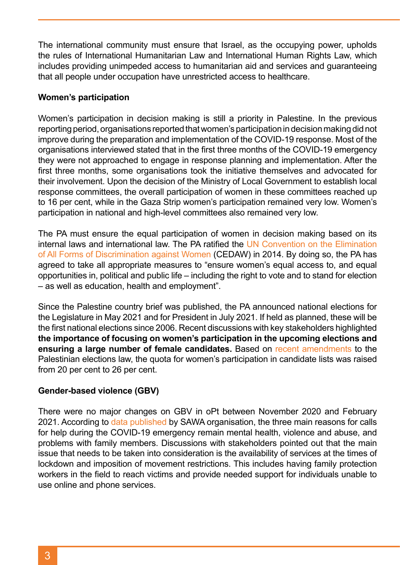The international community must ensure that Israel, as the occupying power, upholds the rules of International Humanitarian Law and International Human Rights Law, which includes providing unimpeded access to humanitarian aid and services and guaranteeing that all people under occupation have unrestricted access to healthcare.

#### **Women's participation**

Women's participation in decision making is still a priority in Palestine. In the previous reporting period, organisations reported that women's participation in decision making did not improve during the preparation and implementation of the COVID-19 response. Most of the organisations interviewed stated that in the first three months of the COVID-19 emergency they were not approached to engage in response planning and implementation. After the first three months, some organisations took the initiative themselves and advocated for their involvement. Upon the decision of the Ministry of Local Government to establish local response committees, the overall participation of women in these committees reached up to 16 per cent, while in the Gaza Strip women's participation remained very low. Women's participation in national and high-level committees also remained very low.

The PA must ensure the equal participation of women in decision making based on its internal laws and international law. The PA ratified the [UN Convention on the Elimination](https://www.un.org/womenwatch/daw/cedaw/#:~:text=CEDAW%2039th%20Session&text=The%20Convention%20provides%20the%20basis,as%20education%2C%20health%20and%20employment.) [of All Forms of Discrimination against Women](https://www.un.org/womenwatch/daw/cedaw/#:~:text=CEDAW%2039th%20Session&text=The%20Convention%20provides%20the%20basis,as%20education%2C%20health%20and%20employment.) (CEDAW) in 2014. By doing so, the PA has agreed to take all appropriate measures to "ensure women's equal access to, and equal opportunities in, political and public life – including the right to vote and to stand for election – as well as education, health and employment".

Since the Palestine country brief was published, the PA announced national elections for the Legislature in May 2021 and for President in July 2021. If held as planned, these will be the first national elections since 2006. Recent discussions with key stakeholders highlighted **the importance of focusing on women's participation in the upcoming elections and ensuring a large number of female candidates.** Based on [recent amendments](https://english.wafa.ps/Pages/Details/122816) to the Palestinian elections law, the quota for women's participation in candidate lists was raised from 20 per cent to 26 per cent.

### **Gender-based violence (GBV)**

There were no major changes on GBV in oPt between November 2020 and February 2021. According to [data published b](https://drive.google.com/file/d/1-DMPoZlWHCTouMQspsqnzB0FCx8FIbMC/view)y SAWA organisation, the three main reasons for calls for help during the COVID-19 emergency remain mental health, violence and abuse, and problems with family members. Discussions with stakeholders pointed out that the main issue that needs to be taken into consideration is the availability of services at the times of lockdown and imposition of movement restrictions. This includes having family protection workers in the field to reach victims and provide needed support for individuals unable to use online and phone services.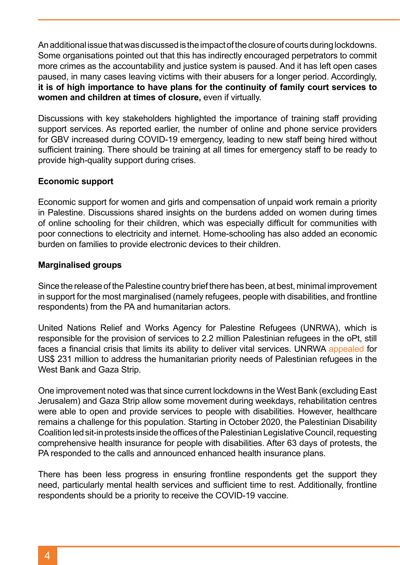An additional issue that was discussed is the impact of the closure of courts during lockdowns. Some organisations pointed out that this has indirectly encouraged perpetrators to commit more crimes as the accountability and justice system is paused. And it has left open cases paused, in many cases leaving victims with their abusers for a longer period. Accordingly, **it is of high importance to have plans for the continuity of family court services to women and children at times of closure,** even if virtually.

Discussions with key stakeholders highlighted the importance of training staff providing support services. As reported earlier, the number of online and phone service providers for GBV increased during COVID-19 emergency, leading to new staff being hired without sufficient training. There should be training at all times for emergency staff to be ready to provide high-quality support during crises.

#### **Economic support**

Economic support for women and girls and compensation of unpaid work remain a priority in Palestine. Discussions shared insights on the burdens added on women during times of online schooling for their children, which was especially difficult for communities with poor connections to electricity and internet. Home-schooling has also added an economic burden on families to provide electronic devices to their children.

#### **Marginalised groups**

Since the release of the Palestine country brief there has been, at best, minimal improvement in support for the most marginalised (namely refugees, people with disabilities, and frontline respondents) from the PA and humanitarian actors.

United Nations Relief and Works Agency for Palestine Refugees (UNRWA), which is responsible for the provision of services to 2.2 million Palestinian refugees in the oPt, still faces a financial crisis that limits its ability to deliver vital services. UNRWA [appealed](https://www.unrwa.org/sites/default/files/content/resources/opt_2021_ea_factsheet_eng.pdf) for US\$ 231 million to address the humanitarian priority needs of Palestinian refugees in the West Bank and Gaza Strip.

One improvement noted was that since current lockdowns in the West Bank (excluding East Jerusalem) and Gaza Strip allow some movement during weekdays, rehabilitation centres were able to open and provide services to people with disabilities. However, healthcare remains a challenge for this population. Starting in October 2020, the Palestinian Disability Coalition led sit-in protests inside the offices of the Palestinian Legislative Council, requesting comprehensive health insurance for people with disabilities. After 63 days of protests, the PA responded to the calls and announced enhanced health insurance plans.

There has been less progress in ensuring frontline respondents get the support they need, particularly mental health services and sufficient time to rest. Additionally, frontline respondents should be a priority to receive the COVID-19 vaccine.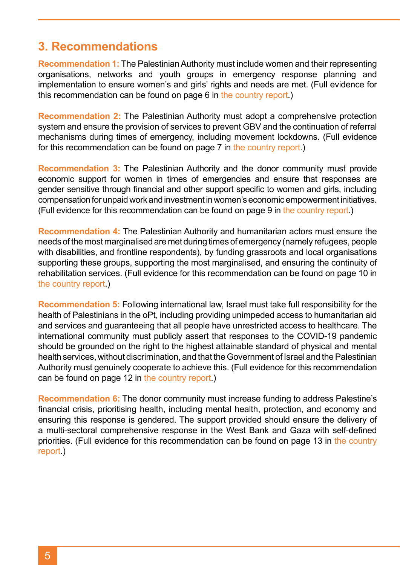## **3. Recommendations**

**Recommendation 1:** The Palestinian Authority must include women and their representing organisations, networks and youth groups in emergency response planning and implementation to ensure women's and girls' rights and needs are met. (Full evidence for this recommendation can be found on page 6 in [the country report.](https://gaps-uk.org/now-and-the-future-gender-equality-peace-and-security-in-a-covid-19-world-palestine/))

**Recommendation 2:** The Palestinian Authority must adopt a comprehensive protection system and ensure the provision of services to prevent GBV and the continuation of referral mechanisms during times of emergency, including movement lockdowns. (Full evidence for this recommendation can be found on page 7 in [the country report.](https://gaps-uk.org/now-and-the-future-gender-equality-peace-and-security-in-a-covid-19-world-palestine/))

**Recommendation 3:** The Palestinian Authority and the donor community must provide economic support for women in times of emergencies and ensure that responses are gender sensitive through financial and other support specific to women and girls, including compensation for unpaid work and investment in women's economic empowerment initiatives. (Full evidence for this recommendation can be found on page 9 in [the country report.](https://gaps-uk.org/now-and-the-future-gender-equality-peace-and-security-in-a-covid-19-world-palestine/))

**Recommendation 4:** The Palestinian Authority and humanitarian actors must ensure the needs of the most marginalised are met during times of emergency (namely refugees, people with disabilities, and frontline respondents), by funding grassroots and local organisations supporting these groups, supporting the most marginalised, and ensuring the continuity of rehabilitation services. (Full evidence for this recommendation can be found on page 10 in [the country report](https://gaps-uk.org/now-and-the-future-gender-equality-peace-and-security-in-a-covid-19-world-palestine/).)

**Recommendation 5:** Following international law, Israel must take full responsibility for the health of Palestinians in the oPt, including providing unimpeded access to humanitarian aid and services and guaranteeing that all people have unrestricted access to healthcare. The international community must publicly assert that responses to the COVID-19 pandemic should be grounded on the right to the highest attainable standard of physical and mental health services, without discrimination, and that the Government of Israel and the Palestinian Authority must genuinely cooperate to achieve this. (Full evidence for this recommendation can be found on page 12 in [the country report.](https://gaps-uk.org/now-and-the-future-gender-equality-peace-and-security-in-a-covid-19-world-palestine/))

**Recommendation 6:** The donor community must increase funding to address Palestine's financial crisis, prioritising health, including mental health, protection, and economy and ensuring this response is gendered. The support provided should ensure the delivery of a multi-sectoral comprehensive response in the West Bank and Gaza with self-defined priorities. (Full evidence for this recommendation can be found on page 13 in [the country](https://gaps-uk.org/now-and-the-future-gender-equality-peace-and-security-in-a-covid-19-world-palestine/) [report.](https://gaps-uk.org/now-and-the-future-gender-equality-peace-and-security-in-a-covid-19-world-palestine/))